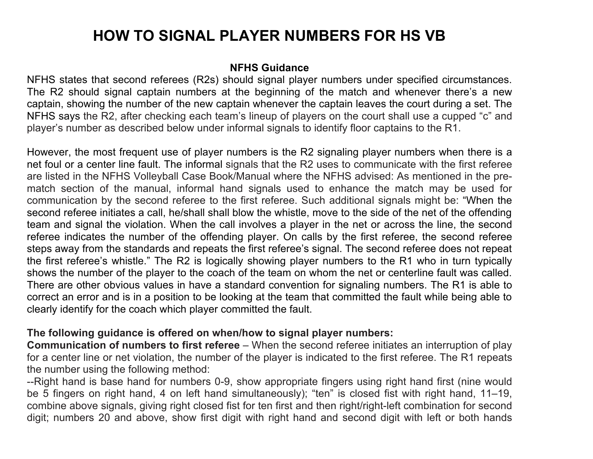# **HOW TO SIGNAL PLAYER NUMBERS FOR HS VB**

# **NFHS Guidance**

NFHS states that second referees (R2s) should signal player numbers under specified circumstances. The R2 should signal captain numbers at the beginning of the match and whenever there's a new captain, showing the number of the new captain whenever the captain leaves the court during a set. The NFHS says the R2, after checking each team's lineup of players on the court shall use a cupped "c" and player's number as described below under informal signals to identify floor captains to the R1.

However, the most frequent use of player numbers is the R2 signaling player numbers when there is a net foul or a center line fault. The informal signals that the R2 uses to communicate with the first referee are listed in the NFHS Volleyball Case Book/Manual where the NFHS advised: As mentioned in the prematch section of the manual, informal hand signals used to enhance the match may be used for communication by the second referee to the first referee. Such additional signals might be: "When the second referee initiates a call, he/shall shall blow the whistle, move to the side of the net of the offending team and signal the violation. When the call involves a player in the net or across the line, the second referee indicates the number of the offending player. On calls by the first referee, the second referee steps away from the standards and repeats the first referee's signal. The second referee does not repeat the first referee's whistle." The R2 is logically showing player numbers to the R1 who in turn typically shows the number of the player to the coach of the team on whom the net or centerline fault was called. There are other obvious values in have a standard convention for signaling numbers. The R1 is able to correct an error and is in a position to be looking at the team that committed the fault while being able to clearly identify for the coach which player committed the fault.

# **The following guidance is offered on when/how to signal player numbers:**

**Communication of numbers to first referee** – When the second referee initiates an interruption of play for a center line or net violation, the number of the player is indicated to the first referee. The R1 repeats the number using the following method:

--Right hand is base hand for numbers 0-9, show appropriate fingers using right hand first (nine would be 5 fingers on right hand, 4 on left hand simultaneously); "ten" is closed fist with right hand, 11–19, combine above signals, giving right closed fist for ten first and then right/right-left combination for second digit; numbers 20 and above, show first digit with right hand and second digit with left or both hands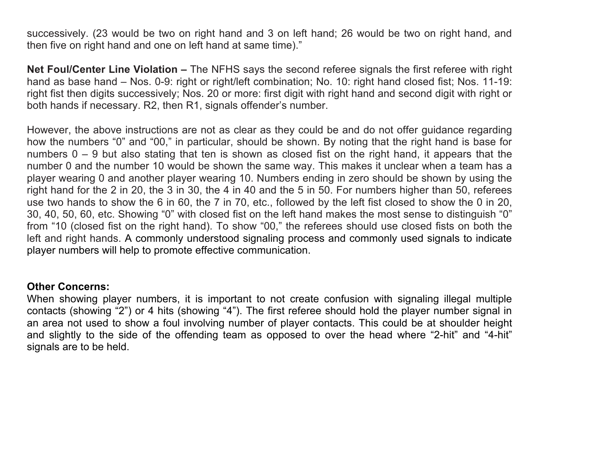successively. (23 would be two on right hand and 3 on left hand; 26 would be two on right hand, and then five on right hand and one on left hand at same time)."

**Net Foul/Center Line Violation –** The NFHS says the second referee signals the first referee with right hand as base hand – Nos. 0-9: right or right/left combination; No. 10: right hand closed fist; Nos. 11-19: right fist then digits successively; Nos. 20 or more: first digit with right hand and second digit with right or both hands if necessary. R2, then R1, signals offender's number.

However, the above instructions are not as clear as they could be and do not offer guidance regarding how the numbers "0" and "00," in particular, should be shown. By noting that the right hand is base for numbers  $0 - 9$  but also stating that ten is shown as closed fist on the right hand, it appears that the number 0 and the number 10 would be shown the same way. This makes it unclear when a team has a player wearing 0 and another player wearing 10. Numbers ending in zero should be shown by using the right hand for the 2 in 20, the 3 in 30, the 4 in 40 and the 5 in 50. For numbers higher than 50, referees use two hands to show the 6 in 60, the 7 in 70, etc., followed by the left fist closed to show the 0 in 20, 30, 40, 50, 60, etc. Showing "0" with closed fist on the left hand makes the most sense to distinguish "0" from "10 (closed fist on the right hand). To show "00," the referees should use closed fists on both the left and right hands. A commonly understood signaling process and commonly used signals to indicate player numbers will help to promote effective communication.

## **Other Concerns:**

When showing player numbers, it is important to not create confusion with signaling illegal multiple contacts (showing "2") or 4 hits (showing "4"). The first referee should hold the player number signal in an area not used to show a foul involving number of player contacts. This could be at shoulder height and slightly to the side of the offending team as opposed to over the head where "2-hit" and "4-hit" signals are to be held.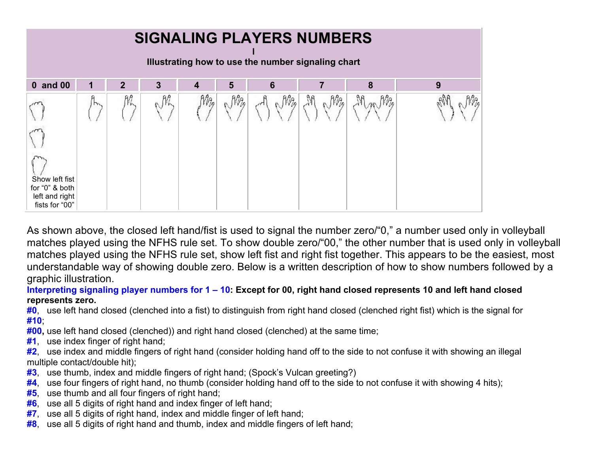| <b>SIGNALING PLAYERS NUMBERS</b><br>Illustrating how to use the number signaling chart |     |              |    |    |     |    |          |       |   |
|----------------------------------------------------------------------------------------|-----|--------------|----|----|-----|----|----------|-------|---|
| 0 and 00                                                                               | 1   | $\mathbf{2}$ | 3  | 4  | 5   | 6  |          | 8     | 9 |
| Show left fist<br>for "0" & both<br>left and right<br>fists for "00"                   | IN. | 脓            | nh | Mą | Mag | NB | M<br>Mag | MarMa |   |

As shown above, the closed left hand/fist is used to signal the number zero/"0," a number used only in volleyball matches played using the NFHS rule set. To show double zero/"00," the other number that is used only in volleyball matches played using the NFHS rule set, show left fist and right fist together. This appears to be the easiest, most understandable way of showing double zero. Below is a written description of how to show numbers followed by a graphic illustration.

**Interpreting signaling player numbers for 1 – 10: Except for 00, right hand closed represents 10 and left hand closed represents zero.**

**#0**, use left hand closed (clenched into a fist) to distinguish from right hand closed (clenched right fist) which is the signal for **#10**;

**#00,** use left hand closed (clenched)) and right hand closed (clenched) at the same time;

**#1**, use index finger of right hand;

**#2**, use index and middle fingers of right hand (consider holding hand off to the side to not confuse it with showing an illegal multiple contact/double hit);

- **#3**, use thumb, index and middle fingers of right hand; (Spock's Vulcan greeting?)
- **#4**, use four fingers of right hand, no thumb (consider holding hand off to the side to not confuse it with showing 4 hits);
- **#5**, use thumb and all four fingers of right hand;
- **#6**, use all 5 digits of right hand and index finger of left hand;
- **#7**, use all 5 digits of right hand, index and middle finger of left hand;
- **#8**, use all 5 digits of right hand and thumb, index and middle fingers of left hand;